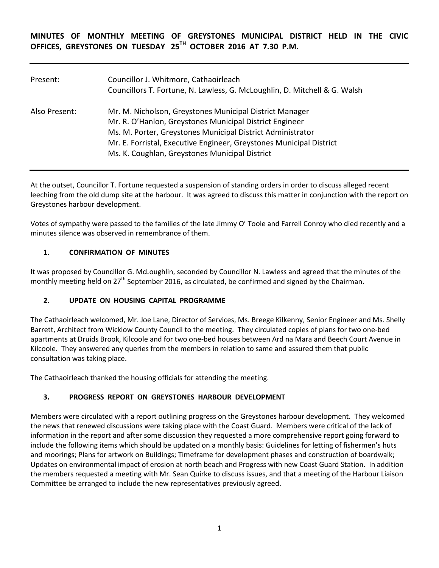**MINUTES OF MONTHLY MEETING OF GREYSTONES MUNICIPAL DISTRICT HELD IN THE CIVIC OFFICES, GREYSTONES ON TUESDAY 25TH OCTOBER 2016 AT 7.30 P.M.** 

| Present:      | Councillor J. Whitmore, Cathaoirleach<br>Councillors T. Fortune, N. Lawless, G. McLoughlin, D. Mitchell & G. Walsh                                                                                                                                                                                        |
|---------------|-----------------------------------------------------------------------------------------------------------------------------------------------------------------------------------------------------------------------------------------------------------------------------------------------------------|
| Also Present: | Mr. M. Nicholson, Greystones Municipal District Manager<br>Mr. R. O'Hanlon, Greystones Municipal District Engineer<br>Ms. M. Porter, Greystones Municipal District Administrator<br>Mr. E. Forristal, Executive Engineer, Greystones Municipal District<br>Ms. K. Coughlan, Greystones Municipal District |

At the outset, Councillor T. Fortune requested a suspension of standing orders in order to discuss alleged recent leeching from the old dump site at the harbour. It was agreed to discuss this matter in conjunction with the report on Greystones harbour development.

Votes of sympathy were passed to the families of the late Jimmy O' Toole and Farrell Conroy who died recently and a minutes silence was observed in remembrance of them.

## **1. CONFIRMATION OF MINUTES**

It was proposed by Councillor G. McLoughlin, seconded by Councillor N. Lawless and agreed that the minutes of the monthly meeting held on  $27<sup>th</sup>$  September 2016, as circulated, be confirmed and signed by the Chairman.

## **2. UPDATE ON HOUSING CAPITAL PROGRAMME**

The Cathaoirleach welcomed, Mr. Joe Lane, Director of Services, Ms. Breege Kilkenny, Senior Engineer and Ms. Shelly Barrett, Architect from Wicklow County Council to the meeting. They circulated copies of plans for two one-bed apartments at Druids Brook, Kilcoole and for two one-bed houses between Ard na Mara and Beech Court Avenue in Kilcoole. They answered any queries from the members in relation to same and assured them that public consultation was taking place.

The Cathaoirleach thanked the housing officials for attending the meeting.

## **3. PROGRESS REPORT ON GREYSTONES HARBOUR DEVELOPMENT**

Members were circulated with a report outlining progress on the Greystones harbour development. They welcomed the news that renewed discussions were taking place with the Coast Guard. Members were critical of the lack of information in the report and after some discussion they requested a more comprehensive report going forward to include the following items which should be updated on a monthly basis: Guidelines for letting of fishermen's huts and moorings; Plans for artwork on Buildings; Timeframe for development phases and construction of boardwalk; Updates on environmental impact of erosion at north beach and Progress with new Coast Guard Station. In addition the members requested a meeting with Mr. Sean Quirke to discuss issues, and that a meeting of the Harbour Liaison Committee be arranged to include the new representatives previously agreed.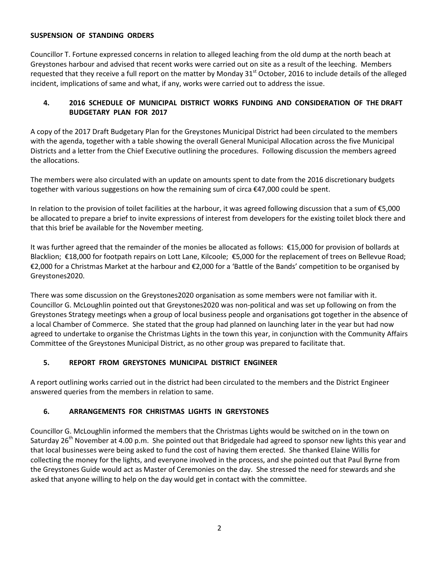## **SUSPENSION OF STANDING ORDERS**

Councillor T. Fortune expressed concerns in relation to alleged leaching from the old dump at the north beach at Greystones harbour and advised that recent works were carried out on site as a result of the leeching. Members requested that they receive a full report on the matter by Monday 31<sup>st</sup> October, 2016 to include details of the alleged incident, implications of same and what, if any, works were carried out to address the issue.

# **4. 2016 SCHEDULE OF MUNICIPAL DISTRICT WORKS FUNDING AND CONSIDERATION OF THE DRAFT BUDGETARY PLAN FOR 2017**

A copy of the 2017 Draft Budgetary Plan for the Greystones Municipal District had been circulated to the members with the agenda, together with a table showing the overall General Municipal Allocation across the five Municipal Districts and a letter from the Chief Executive outlining the procedures. Following discussion the members agreed the allocations.

The members were also circulated with an update on amounts spent to date from the 2016 discretionary budgets together with various suggestions on how the remaining sum of circa €47,000 could be spent.

In relation to the provision of toilet facilities at the harbour, it was agreed following discussion that a sum of €5,000 be allocated to prepare a brief to invite expressions of interest from developers for the existing toilet block there and that this brief be available for the November meeting.

It was further agreed that the remainder of the monies be allocated as follows: €15,000 for provision of bollards at Blacklion; €18,000 for footpath repairs on Lott Lane, Kilcoole; €5,000 for the replacement of trees on Bellevue Road; €2,000 for a Christmas Market at the harbour and €2,000 for a 'Battle of the Bands' competition to be organised by Greystones2020.

There was some discussion on the Greystones2020 organisation as some members were not familiar with it. Councillor G. McLoughlin pointed out that Greystones2020 was non-political and was set up following on from the Greystones Strategy meetings when a group of local business people and organisations got together in the absence of a local Chamber of Commerce. She stated that the group had planned on launching later in the year but had now agreed to undertake to organise the Christmas Lights in the town this year, in conjunction with the Community Affairs Committee of the Greystones Municipal District, as no other group was prepared to facilitate that.

## **5. REPORT FROM GREYSTONES MUNICIPAL DISTRICT ENGINEER**

A report outlining works carried out in the district had been circulated to the members and the District Engineer answered queries from the members in relation to same.

# **6. ARRANGEMENTS FOR CHRISTMAS LIGHTS IN GREYSTONES**

Councillor G. McLoughlin informed the members that the Christmas Lights would be switched on in the town on Saturday 26<sup>th</sup> November at 4.00 p.m. She pointed out that Bridgedale had agreed to sponsor new lights this year and that local businesses were being asked to fund the cost of having them erected. She thanked Elaine Willis for collecting the money for the lights, and everyone involved in the process, and she pointed out that Paul Byrne from the Greystones Guide would act as Master of Ceremonies on the day. She stressed the need for stewards and she asked that anyone willing to help on the day would get in contact with the committee.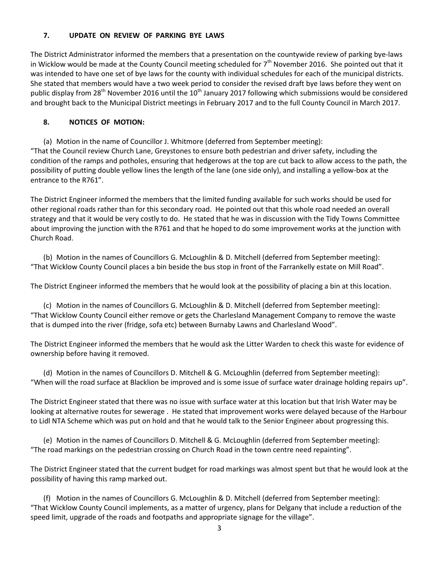#### **7. UPDATE ON REVIEW OF PARKING BYE LAWS**

The District Administrator informed the members that a presentation on the countywide review of parking bye-laws in Wicklow would be made at the County Council meeting scheduled for  $7<sup>th</sup>$  November 2016. She pointed out that it was intended to have one set of bye laws for the county with individual schedules for each of the municipal districts. She stated that members would have a two week period to consider the revised draft bye laws before they went on public display from 28<sup>th</sup> November 2016 until the 10<sup>th</sup> January 2017 following which submissions would be considered and brought back to the Municipal District meetings in February 2017 and to the full County Council in March 2017.

## **8. NOTICES OF MOTION:**

(a) Motion in the name of Councillor J. Whitmore (deferred from September meeting): "That the Council review Church Lane, Greystones to ensure both pedestrian and driver safety, including the condition of the ramps and potholes, ensuring that hedgerows at the top are cut back to allow access to the path, the possibility of putting double yellow lines the length of the lane (one side only), and installing a yellow-box at the entrance to the R761".

The District Engineer informed the members that the limited funding available for such works should be used for other regional roads rather than for this secondary road. He pointed out that this whole road needed an overall strategy and that it would be very costly to do. He stated that he was in discussion with the Tidy Towns Committee about improving the junction with the R761 and that he hoped to do some improvement works at the junction with Church Road.

(b) Motion in the names of Councillors G. McLoughlin & D. Mitchell (deferred from September meeting): "That Wicklow County Council places a bin beside the bus stop in front of the Farrankelly estate on Mill Road".

The District Engineer informed the members that he would look at the possibility of placing a bin at this location.

(c) Motion in the names of Councillors G. McLoughlin & D. Mitchell (deferred from September meeting): "That Wicklow County Council either remove or gets the Charlesland Management Company to remove the waste that is dumped into the river (fridge, sofa etc) between Burnaby Lawns and Charlesland Wood".

The District Engineer informed the members that he would ask the Litter Warden to check this waste for evidence of ownership before having it removed.

(d) Motion in the names of Councillors D. Mitchell & G. McLoughlin (deferred from September meeting): "When will the road surface at Blacklion be improved and is some issue of surface water drainage holding repairs up".

The District Engineer stated that there was no issue with surface water at this location but that Irish Water may be looking at alternative routes for sewerage . He stated that improvement works were delayed because of the Harbour to Lidl NTA Scheme which was put on hold and that he would talk to the Senior Engineer about progressing this.

(e) Motion in the names of Councillors D. Mitchell & G. McLoughlin (deferred from September meeting): "The road markings on the pedestrian crossing on Church Road in the town centre need repainting".

The District Engineer stated that the current budget for road markings was almost spent but that he would look at the possibility of having this ramp marked out.

(f) Motion in the names of Councillors G. McLoughlin & D. Mitchell (deferred from September meeting): "That Wicklow County Council implements, as a matter of urgency, plans for Delgany that include a reduction of the speed limit, upgrade of the roads and footpaths and appropriate signage for the village".